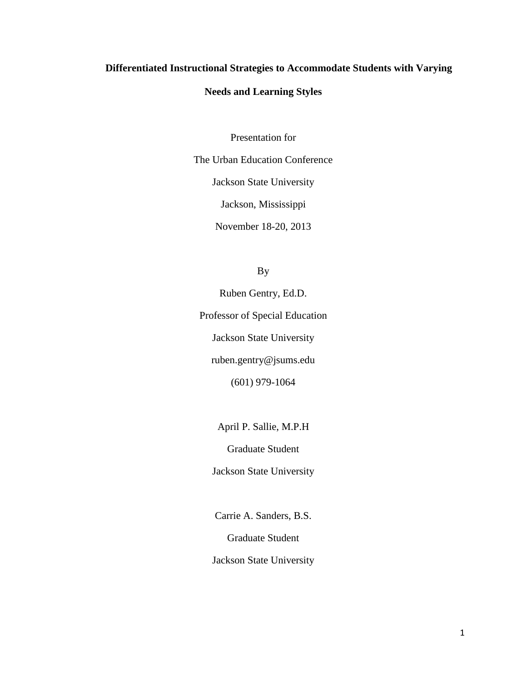## **Differentiated Instructional Strategies to Accommodate Students with Varying**

## **Needs and Learning Styles**

Presentation for

The Urban Education Conference Jackson State University

Jackson, Mississippi

November 18-20, 2013

By

Ruben Gentry, Ed.D. Professor of Special Education Jackson State University ruben.gentry@jsums.edu (601) 979-1064

April P. Sallie, M.P.H

Graduate Student

Jackson State University

Carrie A. Sanders, B.S.

Graduate Student

Jackson State University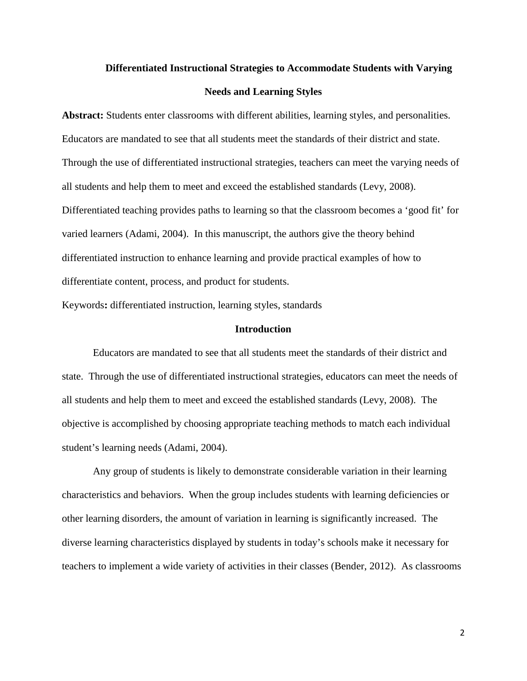# **Differentiated Instructional Strategies to Accommodate Students with Varying Needs and Learning Styles**

**Abstract:** Students enter classrooms with different abilities, learning styles, and personalities. Educators are mandated to see that all students meet the standards of their district and state. Through the use of differentiated instructional strategies, teachers can meet the varying needs of all students and help them to meet and exceed the established standards (Levy, 2008). Differentiated teaching provides paths to learning so that the classroom becomes a 'good fit' for varied learners (Adami, 2004). In this manuscript, the authors give the theory behind differentiated instruction to enhance learning and provide practical examples of how to differentiate content, process, and product for students.

Keywords**:** differentiated instruction, learning styles, standards

## **Introduction**

Educators are mandated to see that all students meet the standards of their district and state. Through the use of differentiated instructional strategies, educators can meet the needs of all students and help them to meet and exceed the established standards (Levy, 2008). The objective is accomplished by choosing appropriate teaching methods to match each individual student's learning needs (Adami, 2004).

Any group of students is likely to demonstrate considerable variation in their learning characteristics and behaviors. When the group includes students with learning deficiencies or other learning disorders, the amount of variation in learning is significantly increased. The diverse learning characteristics displayed by students in today's schools make it necessary for teachers to implement a wide variety of activities in their classes (Bender, 2012). As classrooms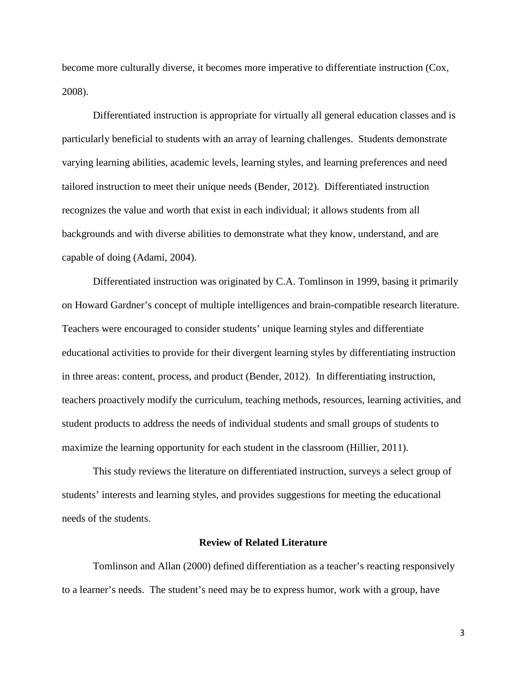become more culturally diverse, it becomes more imperative to differentiate instruction (Cox, 2008).

Differentiated instruction is appropriate for virtually all general education classes and is particularly beneficial to students with an array of learning challenges. Students demonstrate varying learning abilities, academic levels, learning styles, and learning preferences and need tailored instruction to meet their unique needs (Bender, 2012). Differentiated instruction recognizes the value and worth that exist in each individual; it allows students from all backgrounds and with diverse abilities to demonstrate what they know, understand, and are capable of doing (Adami, 2004).

Differentiated instruction was originated by C.A. Tomlinson in 1999, basing it primarily on Howard Gardner's concept of multiple intelligences and brain-compatible research literature. Teachers were encouraged to consider students' unique learning styles and differentiate educational activities to provide for their divergent learning styles by differentiating instruction in three areas: content, process, and product (Bender, 2012). In differentiating instruction, teachers proactively modify the curriculum, teaching methods, resources, learning activities, and student products to address the needs of individual students and small groups of students to maximize the learning opportunity for each student in the classroom (Hillier, 2011).

This study reviews the literature on differentiated instruction, surveys a select group of students' interests and learning styles, and provides suggestions for meeting the educational needs of the students.

### **Review of Related Literature**

Tomlinson and Allan (2000) defined differentiation as a teacher's reacting responsively to a learner's needs. The student's need may be to express humor, work with a group, have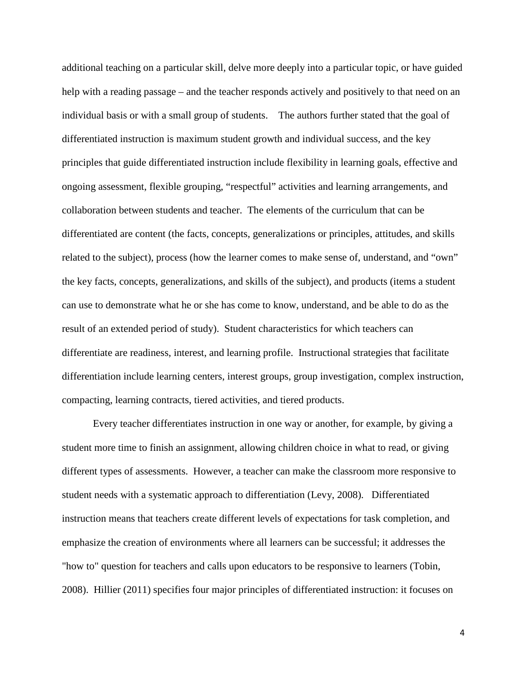additional teaching on a particular skill, delve more deeply into a particular topic, or have guided help with a reading passage – and the teacher responds actively and positively to that need on an individual basis or with a small group of students. The authors further stated that the goal of differentiated instruction is maximum student growth and individual success, and the key principles that guide differentiated instruction include flexibility in learning goals, effective and ongoing assessment, flexible grouping, "respectful" activities and learning arrangements, and collaboration between students and teacher. The elements of the curriculum that can be differentiated are content (the facts, concepts, generalizations or principles, attitudes, and skills related to the subject), process (how the learner comes to make sense of, understand, and "own" the key facts, concepts, generalizations, and skills of the subject), and products (items a student can use to demonstrate what he or she has come to know, understand, and be able to do as the result of an extended period of study). Student characteristics for which teachers can differentiate are readiness, interest, and learning profile. Instructional strategies that facilitate differentiation include learning centers, interest groups, group investigation, complex instruction, compacting, learning contracts, tiered activities, and tiered products.

Every teacher differentiates instruction in one way or another, for example, by giving a student more time to finish an assignment, allowing children choice in what to read, or giving different types of assessments. However, a teacher can make the classroom more responsive to student needs with a systematic approach to differentiation (Levy, 2008). Differentiated instruction means that teachers create different levels of expectations for task completion, and emphasize the creation of environments where all learners can be successful; it addresses the "how to" question for teachers and calls upon educators to be responsive to learners (Tobin, 2008). Hillier (2011) specifies four major principles of differentiated instruction: it focuses on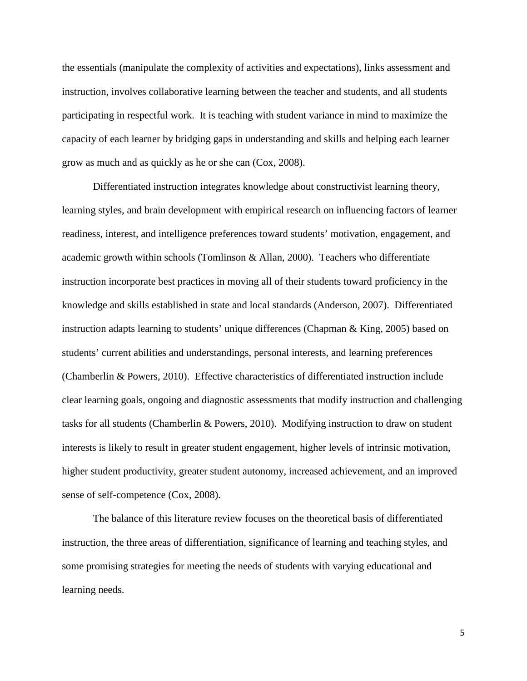the essentials (manipulate the complexity of activities and expectations), links assessment and instruction, involves collaborative learning between the teacher and students, and all students participating in respectful work. It is teaching with student variance in mind to maximize the capacity of each learner by bridging gaps in understanding and skills and helping each learner grow as much and as quickly as he or she can (Cox, 2008).

Differentiated instruction integrates knowledge about constructivist learning theory, learning styles, and brain development with empirical research on influencing factors of learner readiness, interest, and intelligence preferences toward students' motivation, engagement, and academic growth within schools (Tomlinson  $\&$  Allan, 2000). Teachers who differentiate instruction incorporate best practices in moving all of their students toward proficiency in the knowledge and skills established in state and local standards (Anderson, 2007). Differentiated instruction adapts learning to students' unique differences (Chapman & King, 2005) based on students' current abilities and understandings, personal interests, and learning preferences (Chamberlin & Powers, 2010). Effective characteristics of differentiated instruction include clear learning goals, ongoing and diagnostic assessments that modify instruction and challenging tasks for all students (Chamberlin & Powers, 2010). Modifying instruction to draw on student interests is likely to result in greater student engagement, higher levels of intrinsic motivation, higher student productivity, greater student autonomy, increased achievement, and an improved sense of self-competence (Cox, 2008).

The balance of this literature review focuses on the theoretical basis of differentiated instruction, the three areas of differentiation, significance of learning and teaching styles, and some promising strategies for meeting the needs of students with varying educational and learning needs.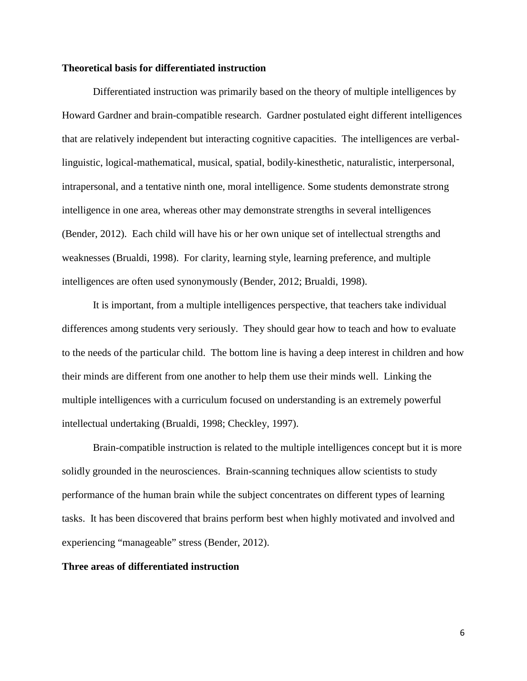## **Theoretical basis for differentiated instruction**

Differentiated instruction was primarily based on the theory of multiple intelligences by Howard Gardner and brain-compatible research. Gardner postulated eight different intelligences that are relatively independent but interacting cognitive capacities. The intelligences are verballinguistic, logical-mathematical, musical, spatial, bodily-kinesthetic, naturalistic, interpersonal, intrapersonal, and a tentative ninth one, moral intelligence. Some students demonstrate strong intelligence in one area, whereas other may demonstrate strengths in several intelligences (Bender, 2012). Each child will have his or her own unique set of intellectual strengths and weaknesses (Brualdi, 1998). For clarity, learning style, learning preference, and multiple intelligences are often used synonymously (Bender, 2012; Brualdi, 1998).

It is important, from a multiple intelligences perspective, that teachers take individual differences among students very seriously. They should gear how to teach and how to evaluate to the needs of the particular child. The bottom line is having a deep interest in children and how their minds are different from one another to help them use their minds well. Linking the multiple intelligences with a curriculum focused on understanding is an extremely powerful intellectual undertaking (Brualdi, 1998; Checkley, 1997).

Brain-compatible instruction is related to the multiple intelligences concept but it is more solidly grounded in the neurosciences. Brain-scanning techniques allow scientists to study performance of the human brain while the subject concentrates on different types of learning tasks. It has been discovered that brains perform best when highly motivated and involved and experiencing "manageable" stress (Bender, 2012).

## **Three areas of differentiated instruction**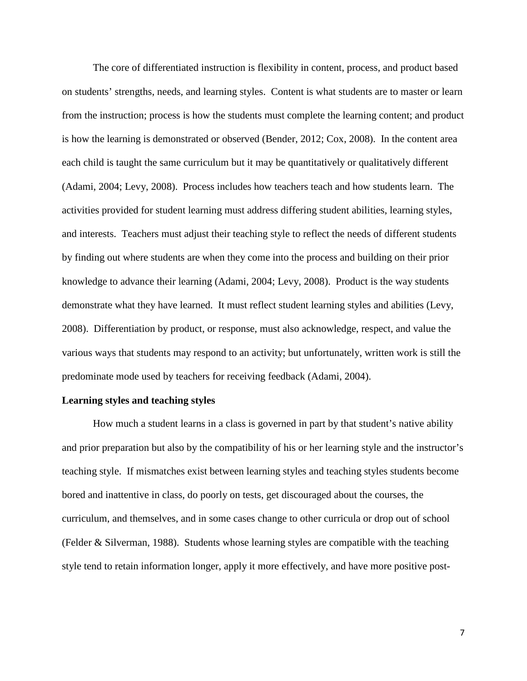The core of differentiated instruction is flexibility in content, process, and product based on students' strengths, needs, and learning styles. Content is what students are to master or learn from the instruction; process is how the students must complete the learning content; and product is how the learning is demonstrated or observed (Bender, 2012; Cox, 2008). In the content area each child is taught the same curriculum but it may be quantitatively or qualitatively different (Adami, 2004; Levy, 2008). Process includes how teachers teach and how students learn. The activities provided for student learning must address differing student abilities, learning styles, and interests. Teachers must adjust their teaching style to reflect the needs of different students by finding out where students are when they come into the process and building on their prior knowledge to advance their learning (Adami, 2004; Levy, 2008). Product is the way students demonstrate what they have learned. It must reflect student learning styles and abilities (Levy, 2008). Differentiation by product, or response, must also acknowledge, respect, and value the various ways that students may respond to an activity; but unfortunately, written work is still the predominate mode used by teachers for receiving feedback (Adami, 2004).

## **Learning styles and teaching styles**

How much a student learns in a class is governed in part by that student's native ability and prior preparation but also by the compatibility of his or her learning style and the instructor's teaching style. If mismatches exist between learning styles and teaching styles students become bored and inattentive in class, do poorly on tests, get discouraged about the courses, the curriculum, and themselves, and in some cases change to other curricula or drop out of school (Felder  $\&$  Silverman, 1988). Students whose learning styles are compatible with the teaching style tend to retain information longer, apply it more effectively, and have more positive post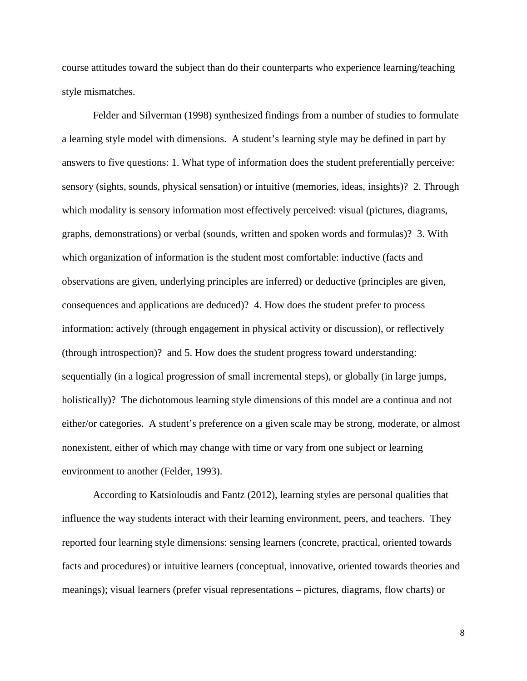course attitudes toward the subject than do their counterparts who experience learning/teaching style mismatches.

Felder and Silverman (1998) synthesized findings from a number of studies to formulate a learning style model with dimensions. A student's learning style may be defined in part by answers to five questions: 1. What type of information does the student preferentially perceive: sensory (sights, sounds, physical sensation) or intuitive (memories, ideas, insights)? 2. Through which modality is sensory information most effectively perceived: visual (pictures, diagrams, graphs, demonstrations) or verbal (sounds, written and spoken words and formulas)? 3. With which organization of information is the student most comfortable: inductive (facts and observations are given, underlying principles are inferred) or deductive (principles are given, consequences and applications are deduced)? 4. How does the student prefer to process information: actively (through engagement in physical activity or discussion), or reflectively (through introspection)? and 5. How does the student progress toward understanding: sequentially (in a logical progression of small incremental steps), or globally (in large jumps, holistically)? The dichotomous learning style dimensions of this model are a continua and not either/or categories. A student's preference on a given scale may be strong, moderate, or almost nonexistent, either of which may change with time or vary from one subject or learning environment to another (Felder, 1993).

According to Katsioloudis and Fantz (2012), learning styles are personal qualities that influence the way students interact with their learning environment, peers, and teachers. They reported four learning style dimensions: sensing learners (concrete, practical, oriented towards facts and procedures) or intuitive learners (conceptual, innovative, oriented towards theories and meanings); visual learners (prefer visual representations – pictures, diagrams, flow charts) or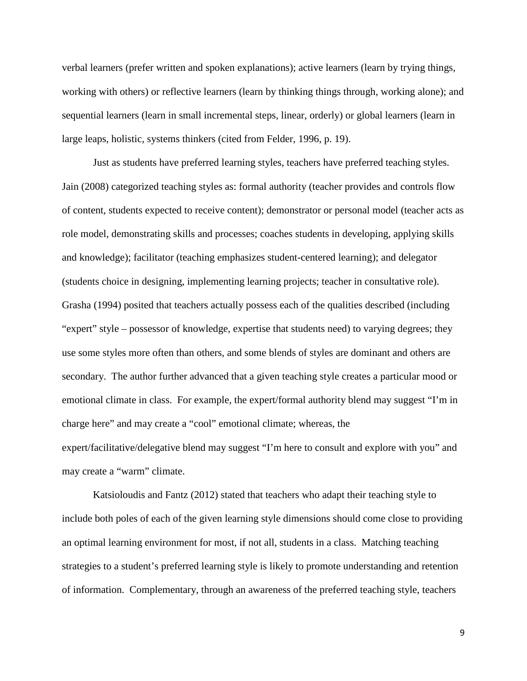verbal learners (prefer written and spoken explanations); active learners (learn by trying things, working with others) or reflective learners (learn by thinking things through, working alone); and sequential learners (learn in small incremental steps, linear, orderly) or global learners (learn in large leaps, holistic, systems thinkers (cited from Felder, 1996, p. 19).

Just as students have preferred learning styles, teachers have preferred teaching styles. Jain (2008) categorized teaching styles as: formal authority (teacher provides and controls flow of content, students expected to receive content); demonstrator or personal model (teacher acts as role model, demonstrating skills and processes; coaches students in developing, applying skills and knowledge); facilitator (teaching emphasizes student-centered learning); and delegator (students choice in designing, implementing learning projects; teacher in consultative role). Grasha (1994) posited that teachers actually possess each of the qualities described (including "expert" style – possessor of knowledge, expertise that students need) to varying degrees; they use some styles more often than others, and some blends of styles are dominant and others are secondary. The author further advanced that a given teaching style creates a particular mood or emotional climate in class. For example, the expert/formal authority blend may suggest "I'm in charge here" and may create a "cool" emotional climate; whereas, the expert/facilitative/delegative blend may suggest "I'm here to consult and explore with you" and may create a "warm" climate.

Katsioloudis and Fantz (2012) stated that teachers who adapt their teaching style to include both poles of each of the given learning style dimensions should come close to providing an optimal learning environment for most, if not all, students in a class. Matching teaching strategies to a student's preferred learning style is likely to promote understanding and retention of information. Complementary, through an awareness of the preferred teaching style, teachers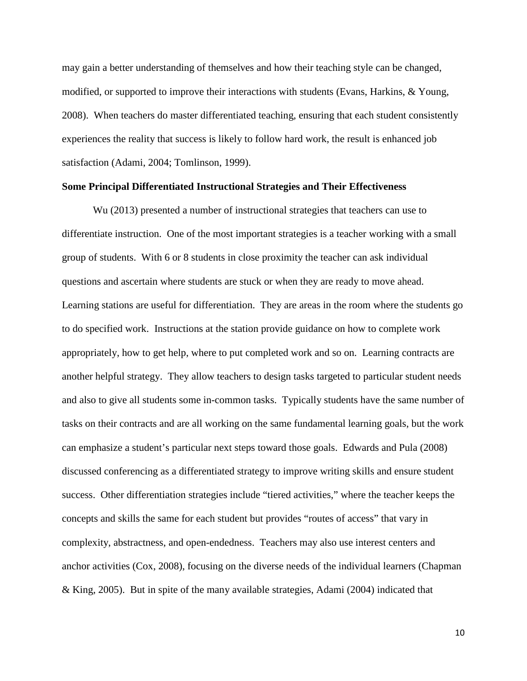may gain a better understanding of themselves and how their teaching style can be changed, modified, or supported to improve their interactions with students (Evans, Harkins, & Young, 2008). When teachers do master differentiated teaching, ensuring that each student consistently experiences the reality that success is likely to follow hard work, the result is enhanced job satisfaction (Adami, 2004; Tomlinson, 1999).

## **Some Principal Differentiated Instructional Strategies and Their Effectiveness**

Wu (2013) presented a number of instructional strategies that teachers can use to differentiate instruction. One of the most important strategies is a teacher working with a small group of students. With 6 or 8 students in close proximity the teacher can ask individual questions and ascertain where students are stuck or when they are ready to move ahead. Learning stations are useful for differentiation. They are areas in the room where the students go to do specified work. Instructions at the station provide guidance on how to complete work appropriately, how to get help, where to put completed work and so on. Learning contracts are another helpful strategy. They allow teachers to design tasks targeted to particular student needs and also to give all students some in-common tasks. Typically students have the same number of tasks on their contracts and are all working on the same fundamental learning goals, but the work can emphasize a student's particular next steps toward those goals. Edwards and Pula (2008) discussed conferencing as a differentiated strategy to improve writing skills and ensure student success. Other differentiation strategies include "tiered activities," where the teacher keeps the concepts and skills the same for each student but provides "routes of access" that vary in complexity, abstractness, and open-endedness. Teachers may also use interest centers and anchor activities (Cox, 2008), focusing on the diverse needs of the individual learners (Chapman & King, 2005). But in spite of the many available strategies, Adami (2004) indicated that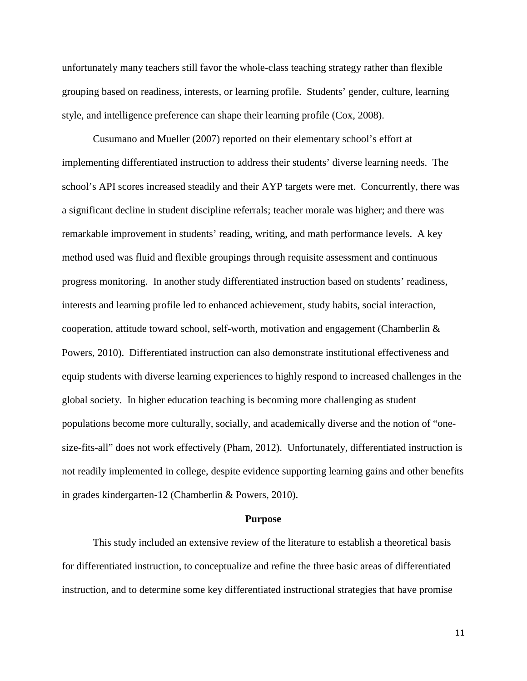unfortunately many teachers still favor the whole-class teaching strategy rather than flexible grouping based on readiness, interests, or learning profile. Students' gender, culture, learning style, and intelligence preference can shape their learning profile (Cox, 2008).

Cusumano and Mueller (2007) reported on their elementary school's effort at implementing differentiated instruction to address their students' diverse learning needs. The school's API scores increased steadily and their AYP targets were met. Concurrently, there was a significant decline in student discipline referrals; teacher morale was higher; and there was remarkable improvement in students' reading, writing, and math performance levels. A key method used was fluid and flexible groupings through requisite assessment and continuous progress monitoring. In another study differentiated instruction based on students' readiness, interests and learning profile led to enhanced achievement, study habits, social interaction, cooperation, attitude toward school, self-worth, motivation and engagement (Chamberlin  $\&$ Powers, 2010). Differentiated instruction can also demonstrate institutional effectiveness and equip students with diverse learning experiences to highly respond to increased challenges in the global society. In higher education teaching is becoming more challenging as student populations become more culturally, socially, and academically diverse and the notion of "onesize-fits-all" does not work effectively (Pham, 2012). Unfortunately, differentiated instruction is not readily implemented in college, despite evidence supporting learning gains and other benefits in grades kindergarten-12 (Chamberlin & Powers, 2010).

#### **Purpose**

This study included an extensive review of the literature to establish a theoretical basis for differentiated instruction, to conceptualize and refine the three basic areas of differentiated instruction, and to determine some key differentiated instructional strategies that have promise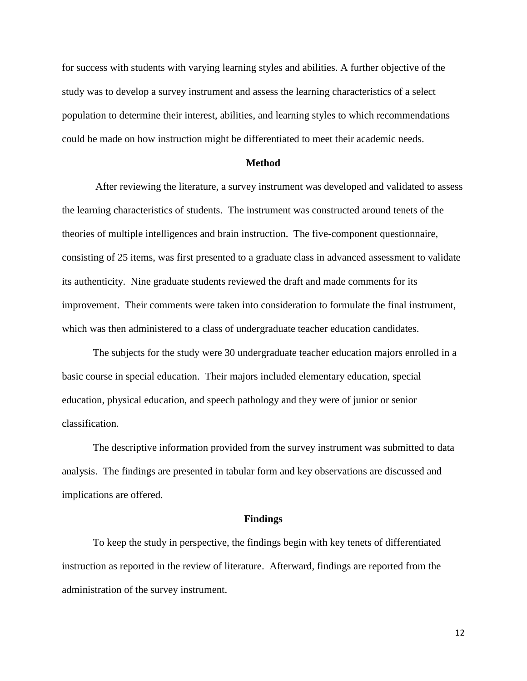for success with students with varying learning styles and abilities. A further objective of the study was to develop a survey instrument and assess the learning characteristics of a select population to determine their interest, abilities, and learning styles to which recommendations could be made on how instruction might be differentiated to meet their academic needs.

## **Method**

After reviewing the literature, a survey instrument was developed and validated to assess the learning characteristics of students. The instrument was constructed around tenets of the theories of multiple intelligences and brain instruction. The five-component questionnaire, consisting of 25 items, was first presented to a graduate class in advanced assessment to validate its authenticity. Nine graduate students reviewed the draft and made comments for its improvement. Their comments were taken into consideration to formulate the final instrument, which was then administered to a class of undergraduate teacher education candidates.

The subjects for the study were 30 undergraduate teacher education majors enrolled in a basic course in special education. Their majors included elementary education, special education, physical education, and speech pathology and they were of junior or senior classification.

The descriptive information provided from the survey instrument was submitted to data analysis. The findings are presented in tabular form and key observations are discussed and implications are offered.

#### **Findings**

To keep the study in perspective, the findings begin with key tenets of differentiated instruction as reported in the review of literature. Afterward, findings are reported from the administration of the survey instrument.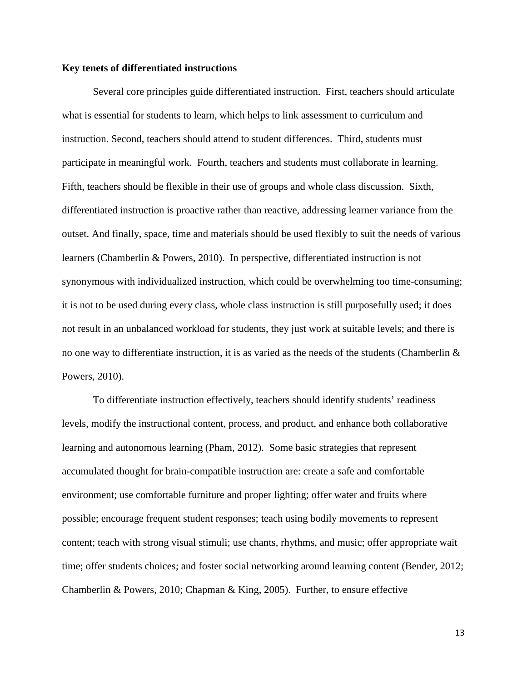## **Key tenets of differentiated instructions**

Several core principles guide differentiated instruction. First, teachers should articulate what is essential for students to learn, which helps to link assessment to curriculum and instruction. Second, teachers should attend to student differences. Third, students must participate in meaningful work. Fourth, teachers and students must collaborate in learning. Fifth, teachers should be flexible in their use of groups and whole class discussion. Sixth, differentiated instruction is proactive rather than reactive, addressing learner variance from the outset. And finally, space, time and materials should be used flexibly to suit the needs of various learners (Chamberlin & Powers, 2010). In perspective, differentiated instruction is not synonymous with individualized instruction, which could be overwhelming too time-consuming; it is not to be used during every class, whole class instruction is still purposefully used; it does not result in an unbalanced workload for students, they just work at suitable levels; and there is no one way to differentiate instruction, it is as varied as the needs of the students (Chamberlin & Powers, 2010).

To differentiate instruction effectively, teachers should identify students' readiness levels, modify the instructional content, process, and product, and enhance both collaborative learning and autonomous learning (Pham, 2012). Some basic strategies that represent accumulated thought for brain-compatible instruction are: create a safe and comfortable environment; use comfortable furniture and proper lighting; offer water and fruits where possible; encourage frequent student responses; teach using bodily movements to represent content; teach with strong visual stimuli; use chants, rhythms, and music; offer appropriate wait time; offer students choices; and foster social networking around learning content (Bender, 2012; Chamberlin & Powers, 2010; Chapman & King, 2005). Further, to ensure effective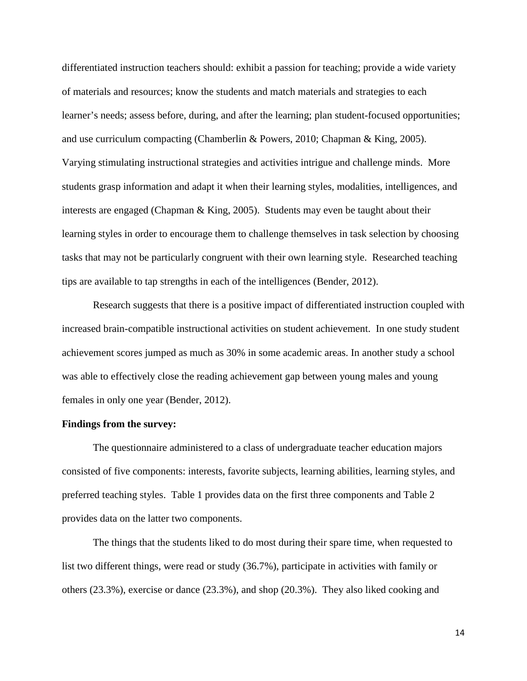differentiated instruction teachers should: exhibit a passion for teaching; provide a wide variety of materials and resources; know the students and match materials and strategies to each learner's needs; assess before, during, and after the learning; plan student-focused opportunities; and use curriculum compacting (Chamberlin & Powers, 2010; Chapman & King, 2005). Varying stimulating instructional strategies and activities intrigue and challenge minds. More students grasp information and adapt it when their learning styles, modalities, intelligences, and interests are engaged (Chapman & King, 2005). Students may even be taught about their learning styles in order to encourage them to challenge themselves in task selection by choosing tasks that may not be particularly congruent with their own learning style. Researched teaching tips are available to tap strengths in each of the intelligences (Bender, 2012).

Research suggests that there is a positive impact of differentiated instruction coupled with increased brain-compatible instructional activities on student achievement. In one study student achievement scores jumped as much as 30% in some academic areas. In another study a school was able to effectively close the reading achievement gap between young males and young females in only one year (Bender, 2012).

## **Findings from the survey:**

The questionnaire administered to a class of undergraduate teacher education majors consisted of five components: interests, favorite subjects, learning abilities, learning styles, and preferred teaching styles. Table 1 provides data on the first three components and Table 2 provides data on the latter two components.

The things that the students liked to do most during their spare time, when requested to list two different things, were read or study (36.7%), participate in activities with family or others (23.3%), exercise or dance (23.3%), and shop (20.3%). They also liked cooking and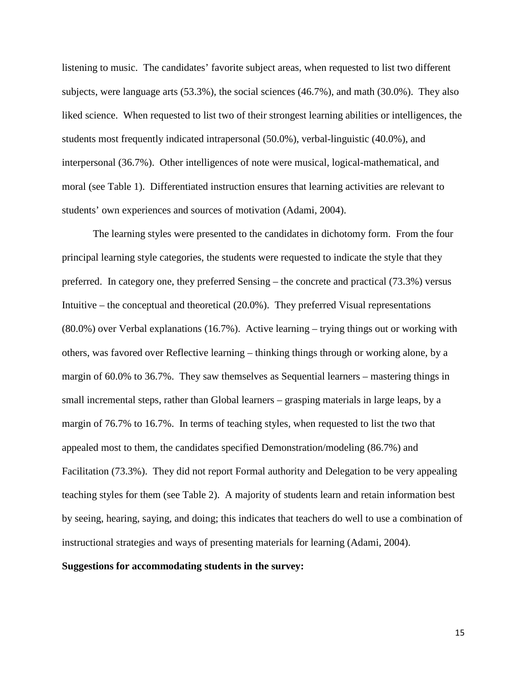listening to music. The candidates' favorite subject areas, when requested to list two different subjects, were language arts (53.3%), the social sciences (46.7%), and math (30.0%). They also liked science. When requested to list two of their strongest learning abilities or intelligences, the students most frequently indicated intrapersonal (50.0%), verbal-linguistic (40.0%), and interpersonal (36.7%). Other intelligences of note were musical, logical-mathematical, and moral (see Table 1). Differentiated instruction ensures that learning activities are relevant to students' own experiences and sources of motivation (Adami, 2004).

The learning styles were presented to the candidates in dichotomy form. From the four principal learning style categories, the students were requested to indicate the style that they preferred. In category one, they preferred Sensing – the concrete and practical (73.3%) versus Intuitive – the conceptual and theoretical (20.0%). They preferred Visual representations (80.0%) over Verbal explanations (16.7%). Active learning – trying things out or working with others, was favored over Reflective learning – thinking things through or working alone, by a margin of 60.0% to 36.7%. They saw themselves as Sequential learners – mastering things in small incremental steps, rather than Global learners – grasping materials in large leaps, by a margin of 76.7% to 16.7%. In terms of teaching styles, when requested to list the two that appealed most to them, the candidates specified Demonstration/modeling (86.7%) and Facilitation (73.3%). They did not report Formal authority and Delegation to be very appealing teaching styles for them (see Table 2). A majority of students learn and retain information best by seeing, hearing, saying, and doing; this indicates that teachers do well to use a combination of instructional strategies and ways of presenting materials for learning (Adami, 2004).

## **Suggestions for accommodating students in the survey:**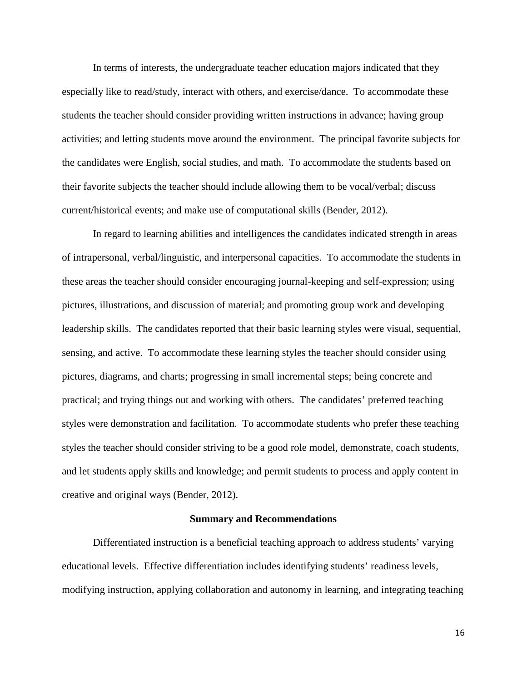In terms of interests, the undergraduate teacher education majors indicated that they especially like to read/study, interact with others, and exercise/dance. To accommodate these students the teacher should consider providing written instructions in advance; having group activities; and letting students move around the environment. The principal favorite subjects for the candidates were English, social studies, and math. To accommodate the students based on their favorite subjects the teacher should include allowing them to be vocal/verbal; discuss current/historical events; and make use of computational skills (Bender, 2012).

In regard to learning abilities and intelligences the candidates indicated strength in areas of intrapersonal, verbal/linguistic, and interpersonal capacities. To accommodate the students in these areas the teacher should consider encouraging journal-keeping and self-expression; using pictures, illustrations, and discussion of material; and promoting group work and developing leadership skills. The candidates reported that their basic learning styles were visual, sequential, sensing, and active. To accommodate these learning styles the teacher should consider using pictures, diagrams, and charts; progressing in small incremental steps; being concrete and practical; and trying things out and working with others. The candidates' preferred teaching styles were demonstration and facilitation. To accommodate students who prefer these teaching styles the teacher should consider striving to be a good role model, demonstrate, coach students, and let students apply skills and knowledge; and permit students to process and apply content in creative and original ways (Bender, 2012).

#### **Summary and Recommendations**

Differentiated instruction is a beneficial teaching approach to address students' varying educational levels. Effective differentiation includes identifying students' readiness levels, modifying instruction, applying collaboration and autonomy in learning, and integrating teaching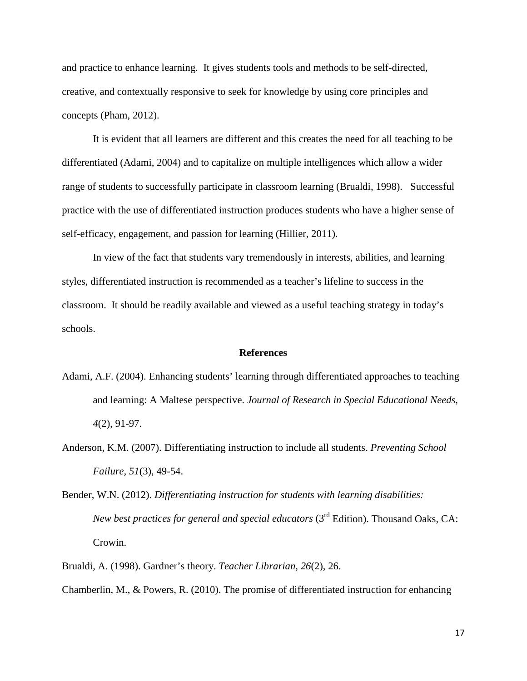and practice to enhance learning. It gives students tools and methods to be self-directed, creative, and contextually responsive to seek for knowledge by using core principles and concepts (Pham, 2012).

It is evident that all learners are different and this creates the need for all teaching to be differentiated (Adami, 2004) and to capitalize on multiple intelligences which allow a wider range of students to successfully participate in classroom learning (Brualdi, 1998). Successful practice with the use of differentiated instruction produces students who have a higher sense of self-efficacy, engagement, and passion for learning (Hillier, 2011).

In view of the fact that students vary tremendously in interests, abilities, and learning styles, differentiated instruction is recommended as a teacher's lifeline to success in the classroom. It should be readily available and viewed as a useful teaching strategy in today's schools.

#### **References**

- Adami, A.F. (2004). Enhancing students' learning through differentiated approaches to teaching and learning: A Maltese perspective. *Journal of Research in Special Educational Needs, 4*(2), 91-97.
- Anderson, K.M. (2007). Differentiating instruction to include all students. *Preventing School Failure, 51*(3), 49-54.
- Bender, W.N. (2012). *Differentiating instruction for students with learning disabilities: New best practices for general and special educators* (3<sup>rd</sup> Edition). Thousand Oaks, CA: Crowin.
- Brualdi, A. (1998). Gardner's theory. *Teacher Librarian, 26*(2), 26.

Chamberlin, M., & Powers, R. (2010). The promise of differentiated instruction for enhancing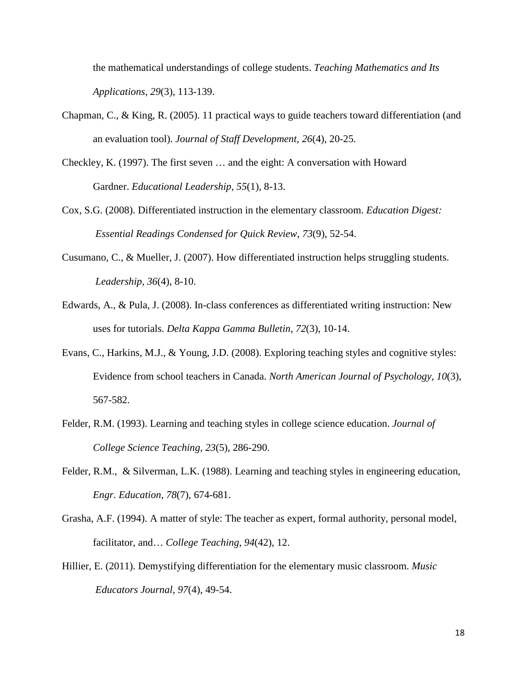the mathematical understandings of college students. *Teaching Mathematics and Its Applications, 29*(3), 113-139.

- Chapman, C., & King, R. (2005). 11 practical ways to guide teachers toward differentiation (and an evaluation tool). *Journal of Staff Development, 26*(4), 20-25.
- Checkley, K. (1997). The first seven … and the eight: A conversation with Howard Gardner. *Educational Leadership, 55*(1), 8-13.
- Cox, S.G. (2008). Differentiated instruction in the elementary classroom. *Education Digest: Essential Readings Condensed for Quick Review, 73*(9), 52-54.
- Cusumano, C., & Mueller, J. (2007). How differentiated instruction helps struggling students. *Leadership, 36*(4), 8-10.
- Edwards, A., & Pula, J. (2008). In-class conferences as differentiated writing instruction: New uses for tutorials. *Delta Kappa Gamma Bulletin, 72*(3), 10-14.
- Evans, C., Harkins, M.J., & Young, J.D. (2008). Exploring teaching styles and cognitive styles: Evidence from school teachers in Canada. *North American Journal of Psychology, 10*(3), 567-582.
- Felder, R.M. (1993). Learning and teaching styles in college science education. *Journal of College Science Teaching, 23*(5), 286-290.
- Felder, R.M., & Silverman, L.K. (1988). Learning and teaching styles in engineering education, *Engr. Education, 78*(7), 674-681.
- Grasha, A.F. (1994). A matter of style: The teacher as expert, formal authority, personal model, facilitator, and… *College Teaching, 94*(42), 12.
- Hillier, E. (2011). Demystifying differentiation for the elementary music classroom. *Music Educators Journal, 97*(4), 49-54.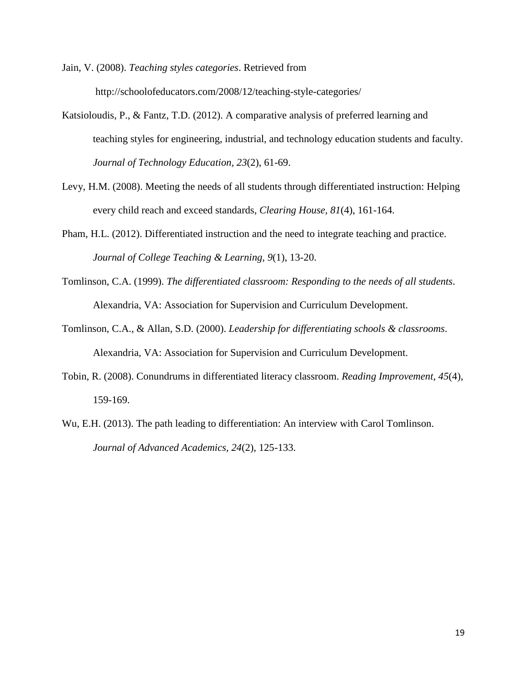- Jain, V. (2008). *Teaching styles categories*. Retrieved from http://schoolofeducators.com/2008/12/teaching-style-categories/
- Katsioloudis, P., & Fantz, T.D. (2012). A comparative analysis of preferred learning and teaching styles for engineering, industrial, and technology education students and faculty. *Journal of Technology Education, 23*(2), 61-69.
- Levy, H.M. (2008). Meeting the needs of all students through differentiated instruction: Helping every child reach and exceed standards, *Clearing House, 81*(4), 161-164.
- Pham, H.L. (2012). Differentiated instruction and the need to integrate teaching and practice. *Journal of College Teaching & Learning, 9*(1), 13-20.
- Tomlinson, C.A. (1999). *The differentiated classroom: Responding to the needs of all students*. Alexandria, VA: Association for Supervision and Curriculum Development.
- Tomlinson, C.A., & Allan, S.D. (2000). *Leadership for differentiating schools & classrooms*. Alexandria, VA: Association for Supervision and Curriculum Development.
- Tobin, R. (2008). Conundrums in differentiated literacy classroom. *Reading Improvement, 45*(4), 159-169.
- Wu, E.H. (2013). The path leading to differentiation: An interview with Carol Tomlinson. *Journal of Advanced Academics, 24*(2), 125-133.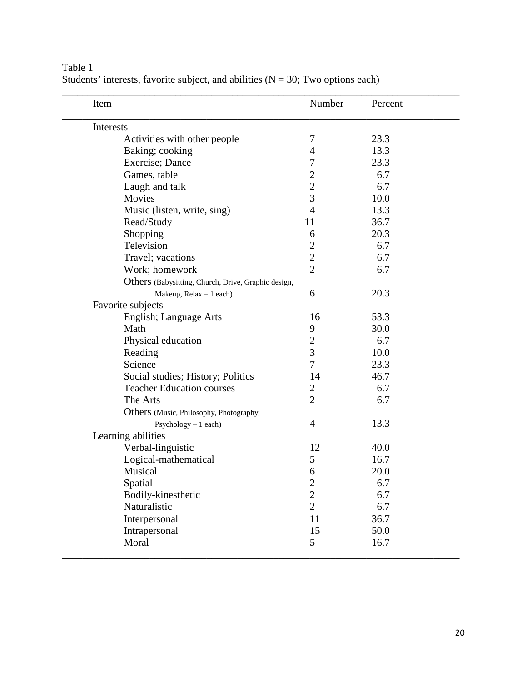| Item                                                | Number         | Percent |
|-----------------------------------------------------|----------------|---------|
| Interests                                           |                |         |
| Activities with other people                        | 7              | 23.3    |
| Baking; cooking                                     | $\overline{4}$ | 13.3    |
| Exercise; Dance                                     | 7              | 23.3    |
| Games, table                                        | $\mathbf{2}$   | 6.7     |
| Laugh and talk                                      | $\overline{2}$ | 6.7     |
| Movies                                              | 3              | 10.0    |
| Music (listen, write, sing)                         | $\overline{4}$ | 13.3    |
| Read/Study                                          | 11             | 36.7    |
| Shopping                                            | 6              | 20.3    |
| Television                                          | $\overline{c}$ | 6.7     |
| Travel; vacations                                   | $\overline{c}$ | 6.7     |
| Work; homework                                      | $\overline{2}$ | 6.7     |
| Others (Babysitting, Church, Drive, Graphic design, |                |         |
| Makeup, Relax - 1 each)                             | 6              | 20.3    |
| Favorite subjects                                   |                |         |
| English; Language Arts                              | 16             | 53.3    |
| Math                                                | 9              | 30.0    |
| Physical education                                  | $\overline{c}$ | 6.7     |
| Reading                                             | 3              | 10.0    |
| Science                                             | $\overline{7}$ | 23.3    |
| Social studies; History; Politics                   | 14             | 46.7    |
| <b>Teacher Education courses</b>                    | $\overline{c}$ | 6.7     |
| The Arts                                            | $\overline{2}$ | 6.7     |
| Others (Music, Philosophy, Photography,             |                |         |
| Psychology - 1 each)                                | $\overline{4}$ | 13.3    |
| Learning abilities                                  |                |         |
| Verbal-linguistic                                   | 12             | 40.0    |
| Logical-mathematical                                | 5              | 16.7    |
| Musical                                             | 6              | 20.0    |
| Spatial                                             | $\mathbf{2}$   | 6.7     |
| Bodily-kinesthetic                                  | $\overline{c}$ | 6.7     |
| Naturalistic                                        | $\overline{2}$ | 6.7     |
| Interpersonal                                       | 11             | 36.7    |
| Intrapersonal                                       | 15             | 50.0    |
| Moral                                               | 5              | 16.7    |

Table 1 Students' interests, favorite subject, and abilities  $(N = 30; Two options each)$